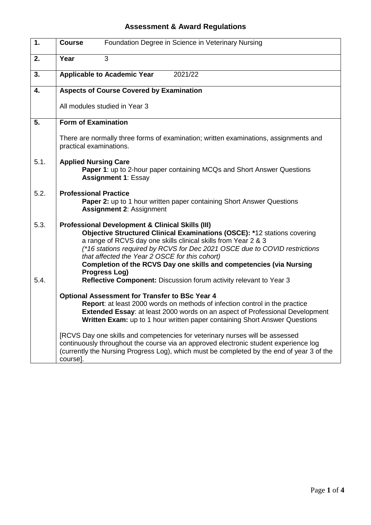## **Assessment & Award Regulations**

| 1.   | Foundation Degree in Science in Veterinary Nursing<br><b>Course</b>                                                                                                                                                                                                                                                                                                                                                                                                                                                                                                                        |
|------|--------------------------------------------------------------------------------------------------------------------------------------------------------------------------------------------------------------------------------------------------------------------------------------------------------------------------------------------------------------------------------------------------------------------------------------------------------------------------------------------------------------------------------------------------------------------------------------------|
| 2.   | 3<br>Year                                                                                                                                                                                                                                                                                                                                                                                                                                                                                                                                                                                  |
| 3.   | 2021/22<br><b>Applicable to Academic Year</b>                                                                                                                                                                                                                                                                                                                                                                                                                                                                                                                                              |
| 4.   | <b>Aspects of Course Covered by Examination</b>                                                                                                                                                                                                                                                                                                                                                                                                                                                                                                                                            |
|      | All modules studied in Year 3                                                                                                                                                                                                                                                                                                                                                                                                                                                                                                                                                              |
| 5.   | <b>Form of Examination</b>                                                                                                                                                                                                                                                                                                                                                                                                                                                                                                                                                                 |
|      | There are normally three forms of examination; written examinations, assignments and<br>practical examinations.                                                                                                                                                                                                                                                                                                                                                                                                                                                                            |
| 5.1. | <b>Applied Nursing Care</b><br><b>Paper 1:</b> up to 2-hour paper containing MCQs and Short Answer Questions<br><b>Assignment 1: Essay</b>                                                                                                                                                                                                                                                                                                                                                                                                                                                 |
| 5.2. | <b>Professional Practice</b><br><b>Paper 2:</b> up to 1 hour written paper containing Short Answer Questions<br><b>Assignment 2: Assignment</b>                                                                                                                                                                                                                                                                                                                                                                                                                                            |
| 5.3. | <b>Professional Development &amp; Clinical Skills (III)</b><br>Objective Structured Clinical Examinations (OSCE): *12 stations covering<br>a range of RCVS day one skills clinical skills from Year 2 & 3<br>(*16 stations required by RCVS for Dec 2021 OSCE due to COVID restrictions<br>that affected the Year 2 OSCE for this cohort)<br>Completion of the RCVS Day one skills and competencies (via Nursing<br>Progress Log)                                                                                                                                                          |
| 5.4. | Reflective Component: Discussion forum activity relevant to Year 3                                                                                                                                                                                                                                                                                                                                                                                                                                                                                                                         |
|      | <b>Optional Assessment for Transfer to BSc Year 4</b><br>Report: at least 2000 words on methods of infection control in the practice<br><b>Extended Essay:</b> at least 2000 words on an aspect of Professional Development<br>Written Exam: up to 1 hour written paper containing Short Answer Questions<br>[RCVS Day one skills and competencies for veterinary nurses will be assessed<br>continuously throughout the course via an approved electronic student experience log<br>(currently the Nursing Progress Log), which must be completed by the end of year 3 of the<br>course]. |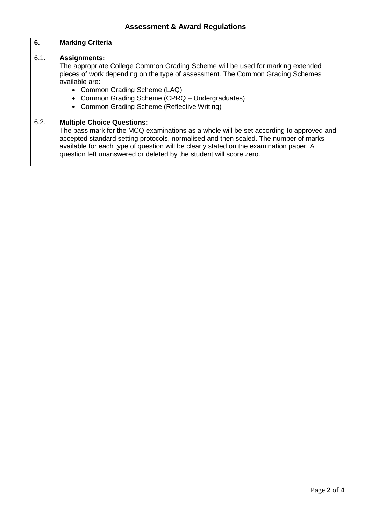## **6.** 6.1. 6.2. **Marking Criteria Assignments:** The appropriate College Common Grading Scheme will be used for marking extended pieces of work depending on the type of assessment. The Common Grading Schemes available are: • Common Grading Scheme (LAQ) • Common Grading Scheme (CPRQ – Undergraduates) • Common Grading Scheme (Reflective Writing) **Multiple Choice Questions:** The pass mark for the MCQ examinations as a whole will be set according to approved and accepted standard setting protocols, normalised and then scaled. The number of marks available for each type of question will be clearly stated on the examination paper. A question left unanswered or deleted by the student will score zero.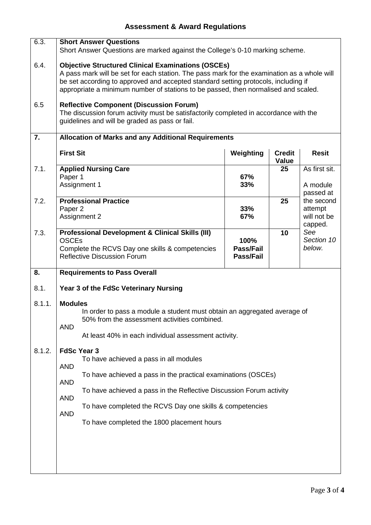## **Assessment & Award Regulations**

| 6.3.   |                                                                                             | <b>Short Answer Questions</b>                                                         |                               |                               |                        |  |
|--------|---------------------------------------------------------------------------------------------|---------------------------------------------------------------------------------------|-------------------------------|-------------------------------|------------------------|--|
|        |                                                                                             | Short Answer Questions are marked against the College's 0-10 marking scheme.          |                               |                               |                        |  |
| 6.4.   | <b>Objective Structured Clinical Examinations (OSCEs)</b>                                   |                                                                                       |                               |                               |                        |  |
|        | A pass mark will be set for each station. The pass mark for the examination as a whole will |                                                                                       |                               |                               |                        |  |
|        |                                                                                             | be set according to approved and accepted standard setting protocols, including if    |                               |                               |                        |  |
|        |                                                                                             | appropriate a minimum number of stations to be passed, then normalised and scaled.    |                               |                               |                        |  |
| 6.5    |                                                                                             | <b>Reflective Component (Discussion Forum)</b>                                        |                               |                               |                        |  |
|        |                                                                                             | The discussion forum activity must be satisfactorily completed in accordance with the |                               |                               |                        |  |
|        |                                                                                             | guidelines and will be graded as pass or fail.                                        |                               |                               |                        |  |
| 7.     | <b>Allocation of Marks and any Additional Requirements</b>                                  |                                                                                       |                               |                               |                        |  |
|        | <b>First Sit</b>                                                                            |                                                                                       | Weighting                     | <b>Credit</b><br><b>Value</b> | <b>Resit</b>           |  |
| 7.1.   |                                                                                             | <b>Applied Nursing Care</b>                                                           |                               | 25                            | As first sit.          |  |
|        | Paper 1                                                                                     |                                                                                       | 67%                           |                               |                        |  |
|        |                                                                                             | Assignment 1                                                                          | 33%                           |                               | A module<br>passed at  |  |
| 7.2.   |                                                                                             | <b>Professional Practice</b>                                                          |                               | 25                            | the second             |  |
|        | Paper 2                                                                                     |                                                                                       | 33%                           |                               | attempt                |  |
|        |                                                                                             | Assignment 2                                                                          | 67%                           |                               | will not be<br>capped. |  |
| 7.3.   |                                                                                             | <b>Professional Development &amp; Clinical Skills (III)</b>                           |                               | 10                            | See                    |  |
|        | <b>OSCEs</b>                                                                                |                                                                                       | 100%                          |                               | Section 10             |  |
|        |                                                                                             | Complete the RCVS Day one skills & competencies<br><b>Reflective Discussion Forum</b> | Pass/Fail<br><b>Pass/Fail</b> |                               | below.                 |  |
|        |                                                                                             |                                                                                       |                               |                               |                        |  |
| 8.     | <b>Requirements to Pass Overall</b>                                                         |                                                                                       |                               |                               |                        |  |
| 8.1.   | Year 3 of the FdSc Veterinary Nursing                                                       |                                                                                       |                               |                               |                        |  |
| 8.1.1. | <b>Modules</b>                                                                              |                                                                                       |                               |                               |                        |  |
|        |                                                                                             | In order to pass a module a student must obtain an aggregated average of              |                               |                               |                        |  |
|        | <b>AND</b>                                                                                  | 50% from the assessment activities combined.                                          |                               |                               |                        |  |
|        |                                                                                             | At least 40% in each individual assessment activity.                                  |                               |                               |                        |  |
| 8.1.2. | <b>FdSc Year 3</b>                                                                          |                                                                                       |                               |                               |                        |  |
|        | <b>AND</b>                                                                                  | To have achieved a pass in all modules                                                |                               |                               |                        |  |
|        | <b>AND</b>                                                                                  | To have achieved a pass in the practical examinations (OSCEs)                         |                               |                               |                        |  |
|        | <b>AND</b>                                                                                  | To have achieved a pass in the Reflective Discussion Forum activity                   |                               |                               |                        |  |
|        | To have completed the RCVS Day one skills & competencies<br><b>AND</b>                      |                                                                                       |                               |                               |                        |  |
|        |                                                                                             | To have completed the 1800 placement hours                                            |                               |                               |                        |  |
|        |                                                                                             |                                                                                       |                               |                               |                        |  |
|        |                                                                                             |                                                                                       |                               |                               |                        |  |
|        |                                                                                             |                                                                                       |                               |                               |                        |  |
|        |                                                                                             |                                                                                       |                               |                               |                        |  |